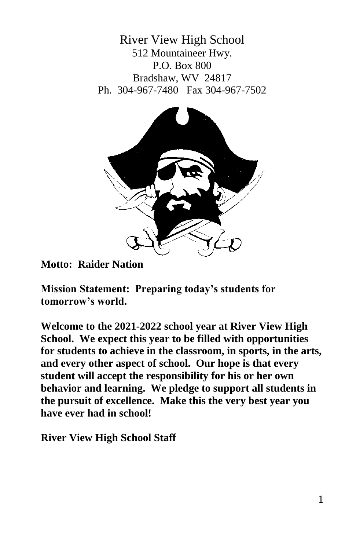River View High School 512 Mountaineer Hwy. P.O. Box 800 Bradshaw, WV 24817 Ph. 304-967-7480 Fax 304-967-7502



**Motto: Raider Nation**

**Mission Statement: Preparing today's students for tomorrow's world.**

**Welcome to the 2021-2022 school year at River View High School. We expect this year to be filled with opportunities for students to achieve in the classroom, in sports, in the arts, and every other aspect of school. Our hope is that every student will accept the responsibility for his or her own behavior and learning. We pledge to support all students in the pursuit of excellence. Make this the very best year you have ever had in school!**

**River View High School Staff**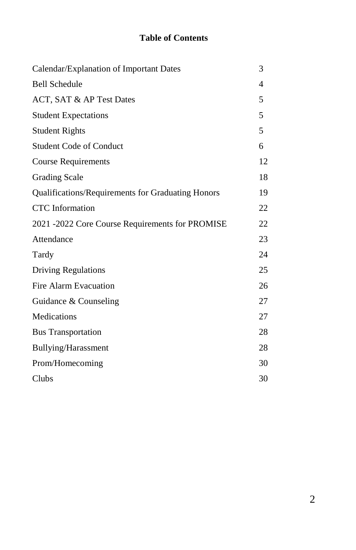# **Table of Contents**

| Calendar/Explanation of Important Dates           | 3              |
|---------------------------------------------------|----------------|
| <b>Bell Schedule</b>                              | $\overline{4}$ |
| ACT, SAT & AP Test Dates                          | 5              |
| <b>Student Expectations</b>                       | 5              |
| <b>Student Rights</b>                             | 5              |
| <b>Student Code of Conduct</b>                    | 6              |
| Course Requirements                               | 12             |
| <b>Grading Scale</b>                              | 18             |
| Qualifications/Requirements for Graduating Honors | 19             |
| <b>CTC</b> Information                            | 22             |
| 2021 -2022 Core Course Requirements for PROMISE   | 22             |
| Attendance                                        | 23             |
| Tardy                                             | 24             |
| <b>Driving Regulations</b>                        | 25             |
| Fire Alarm Evacuation                             | 26             |
| Guidance & Counseling                             | 27             |
| Medications                                       | 27             |
| <b>Bus Transportation</b>                         | 28             |
| Bullying/Harassment                               | 28             |
| Prom/Homecoming                                   | 30             |
| Clubs                                             | 30             |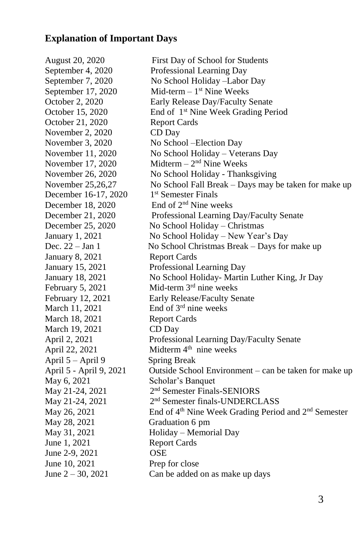# **Explanation of Important Days**

August 20, 2020 First Day of School for Students September 4, 2020 Professional Learning Day September 7, 2020 No School Holiday –Labor Day September 17, 2020  $Mid-term - 1<sup>st</sup>$  Nine Weeks October 2, 2020 Early Release Day/Faculty Senate October 15, 2020 End of 1<sup>st</sup> Nine Week Grading Period October 21, 2020 Report Cards November 2, 2020 CD Day November 3, 2020 No School – Election Day November 11, 2020 No School Holiday – Veterans Day November 17, 2020  $Midterm - 2<sup>nd</sup> Nine Weeks$ November 26, 2020 No School Holiday - Thanksgiving November 25,26,27 No School Fall Break – Days may be taken for make up December 16-17, 2020 1<sup>st</sup> Semester Finals December 18, 2020 End of 2<sup>nd</sup> Nine weeks December 21, 2020 Professional Learning Day/Faculty Senate December 25, 2020 No School Holiday – Christmas January 1, 2021 No School Holiday – New Year's Day Dec. 22 – Jan 1 No School Christmas Break – Days for make up January 8, 2021 Report Cards January 15, 2021 Professional Learning Day January 18, 2021 No School Holiday- Martin Luther King, Jr Day February 5, 2021 Mid-term  $3<sup>rd</sup>$  nine weeks February 12, 2021 Early Release/Faculty Senate March 11, 2021 End of  $3<sup>rd</sup>$  nine weeks March 18, 2021 Report Cards March 19, 2021 CD Day April 2, 2021 Professional Learning Day/Faculty Senate April 22, 2021 Midterm  $4<sup>th</sup>$  nine weeks April 5 – April 9 Spring Break April 5 - April 9, 2021 Outside School Environment – can be taken for make up May 6, 2021 Scholar's Banquet May 21-24, 2021 2<sup>nd</sup> Semester Finals-SENIORS May 21-24, 2021 2<sup>nd</sup> Semester finals-UNDERCLASS May 26, 2021 End of 4<sup>th</sup> Nine Week Grading Period and 2<sup>nd</sup> Semester May 28, 2021 Graduation 6 pm May 31, 2021 Holiday – Memorial Day June 1, 2021 Report Cards June 2-9, 2021 **OSE** June 10, 2021 Prep for close June  $2 - 30$ , 2021 Can be added on as make up days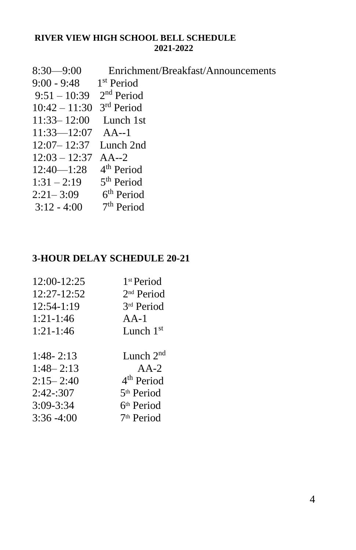# **RIVER VIEW HIGH SCHOOL BELL SCHEDULE 2021-2022**

| $8:30-9:00$                            | Enrichment/Breakfast/Announcements |
|----------------------------------------|------------------------------------|
| 9:00 - 9:48 1st Period                 |                                    |
| $9:51 - 10:39$ 2 <sup>nd</sup> Period  |                                    |
| $10:42 - 11:30$ 3 <sup>rd</sup> Period |                                    |
| $11:33 - 12:00$ Lunch 1st              |                                    |
| $11:33 - 12:07$ AA--1                  |                                    |
| $12:07 - 12:37$ Lunch 2nd              |                                    |
| $12:03 - 12:37$ AA--2                  |                                    |
| $12:40-1:28$ 4 <sup>th</sup> Period    |                                    |
| $1:31 - 2:19$ 5 <sup>th</sup> Period   |                                    |
| $2:21-3:09$ 6 <sup>th</sup> Period     |                                    |
| $3:12 - 4:00$ 7 <sup>th</sup> Period   |                                    |

# **3-HOUR DELAY SCHEDULE 20-21**

| 12:00-12:25   | 1 <sup>st</sup> Period |
|---------------|------------------------|
| 12:27-12:52   | 2 <sup>nd</sup> Period |
| 12:54-1:19    | 3rd Period             |
| $1:21-1:46$   | $AA-1$                 |
| $1:21-1:46$   | Lunch $1st$            |
|               |                        |
| $1:48 - 2:13$ | Lunch $2nd$            |
| $1:48 - 2:13$ | $AA-2$                 |
| $2:15 - 2:40$ | 4 <sup>th</sup> Period |
| 2:42:307      | 5 <sup>th</sup> Period |
| 3:09-3:34     | 6 <sup>th</sup> Period |
| $3:36 - 4:00$ | 7 <sup>th</sup> Period |
|               |                        |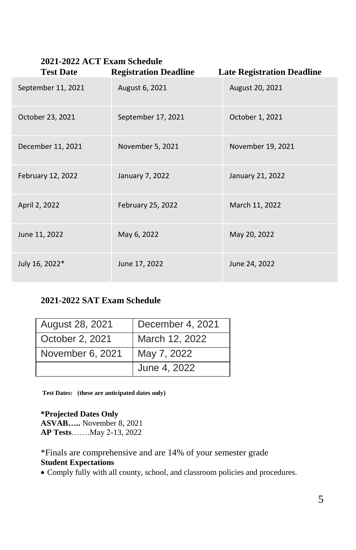| 2021-2022 ACT Exam Schedule<br><b>Test Date</b><br><b>Registration Deadline</b> |                    |                                   |  |  |
|---------------------------------------------------------------------------------|--------------------|-----------------------------------|--|--|
|                                                                                 |                    | <b>Late Registration Deadline</b> |  |  |
| September 11, 2021                                                              | August 6, 2021     | August 20, 2021                   |  |  |
| October 23, 2021                                                                | September 17, 2021 | October 1, 2021                   |  |  |
| December 11, 2021                                                               | November 5, 2021   | November 19, 2021                 |  |  |
| February 12, 2022                                                               | January 7, 2022    | January 21, 2022                  |  |  |
| April 2, 2022                                                                   | February 25, 2022  | March 11, 2022                    |  |  |
| June 11, 2022                                                                   | May 6, 2022        | May 20, 2022                      |  |  |
| July 16, 2022*                                                                  | June 17, 2022      | June 24, 2022                     |  |  |

# **2021-2022 SAT Exam Schedule**

| August 28, 2021  | December 4, 2021 |
|------------------|------------------|
| October 2, 2021  | March 12, 2022   |
| November 6, 2021 | May 7, 2022      |
|                  | June 4, 2022     |

**Test Dates: (these are anticipated dates only)**

**\*Projected Dates Only ASVAB…..** November 8, 2021 **AP Tests**…….May 2-13, 2022

\*Finals are comprehensive and are 14% of your semester grade **Student Expectations**

Comply fully with all county, school, and classroom policies and procedures.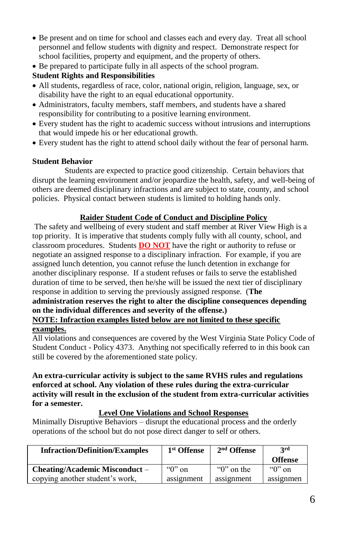- Be present and on time for school and classes each and every day. Treat all school personnel and fellow students with dignity and respect. Demonstrate respect for school facilities, property and equipment, and the property of others.
- Be prepared to participate fully in all aspects of the school program.

## **Student Rights and Responsibilities**

- All students, regardless of race, color, national origin, religion, language, sex, or disability have the right to an equal educational opportunity.
- Administrators, faculty members, staff members, and students have a shared responsibility for contributing to a positive learning environment.
- Every student has the right to academic success without intrusions and interruptions that would impede his or her educational growth.
- Every student has the right to attend school daily without the fear of personal harm.

### **Student Behavior**

Students are expected to practice good citizenship. Certain behaviors that disrupt the learning environment and/or jeopardize the health, safety, and well-being of others are deemed disciplinary infractions and are subject to state, county, and school policies. Physical contact between students is limited to holding hands only.

### **Raider Student Code of Conduct and Discipline Policy**

The safety and wellbeing of every student and staff member at River View High is a top priority. It is imperative that students comply fully with all county, school, and classroom procedures. Students **DO NOT** have the right or authority to refuse or negotiate an assigned response to a disciplinary infraction. For example, if you are assigned lunch detention, you cannot refuse the lunch detention in exchange for another disciplinary response. If a student refuses or fails to serve the established duration of time to be served, then he/she will be issued the next tier of disciplinary response in addition to serving the previously assigned response. (**The administration reserves the right to alter the discipline consequences depending on the individual differences and severity of the offense.)**

#### **NOTE: Infraction examples listed below are not limited to these specific examples.**

All violations and consequences are covered by the West Virginia State Policy Code of Student Conduct - Policy 4373. Anything not specifically referred to in this book can still be covered by the aforementioned state policy.

#### **An extra-curricular activity is subject to the same RVHS rules and regulations enforced at school. Any violation of these rules during the extra-curricular activity will result in the exclusion of the student from extra-curricular activities for a semester.**

### **Level One Violations and School Responses**

Minimally Disruptive Behaviors – disrupt the educational process and the orderly operations of the school but do not pose direct danger to self or others.

| <b>Infraction/Definition/Examples</b> | 1 <sup>st</sup> Offense | $2nd$ Offense  | <b>3rd</b><br><b>Offense</b> |
|---------------------------------------|-------------------------|----------------|------------------------------|
| <b>Cheating/Academic Misconduct –</b> | " $0$ " on              | " $0$ " on the | " $0$ " on                   |
| copying another student's work.       | assignment              | assignment     | assignmen                    |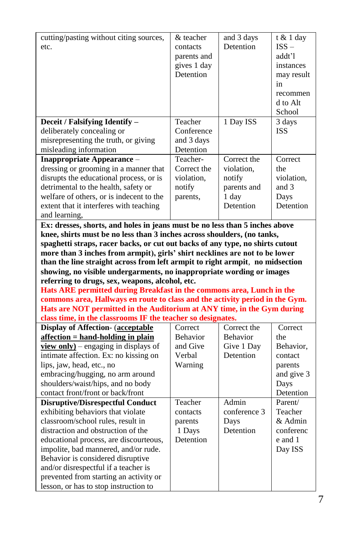| cutting/pasting without citing sources,                                       | & teacher             | and 3 days                | $t \& 1$ day |
|-------------------------------------------------------------------------------|-----------------------|---------------------------|--------------|
| etc.                                                                          | contacts              | Detention                 | $ISS -$      |
|                                                                               | parents and           |                           | addt'l       |
|                                                                               | gives 1 day           |                           | instances    |
|                                                                               | Detention             |                           | may result   |
|                                                                               |                       |                           | in           |
|                                                                               |                       |                           | recommen     |
|                                                                               |                       |                           | d to Alt     |
|                                                                               |                       |                           | School       |
|                                                                               | Teacher               | 1 Day ISS                 | 3 days       |
| Deceit / Falsifying Identify -                                                | Conference            |                           | <b>ISS</b>   |
| deliberately concealing or                                                    |                       |                           |              |
| misrepresenting the truth, or giving                                          | and 3 days            |                           |              |
| misleading information                                                        | Detention<br>Teacher- |                           | Correct      |
| <b>Inappropriate Appearance -</b>                                             | Correct the           | Correct the<br>violation. | the          |
| dressing or grooming in a manner that                                         |                       |                           |              |
| disrupts the educational process, or is                                       | violation,            | notify                    | violation,   |
| detrimental to the health, safety or                                          | notify                | parents and               | and 3        |
| welfare of others, or is indecent to the                                      | parents,              | 1 day                     | Days         |
| extent that it interferes with teaching                                       |                       | Detention                 | Detention    |
| and learning,                                                                 |                       |                           |              |
| Ex: dresses, shorts, and holes in jeans must be no less than 5 inches above   |                       |                           |              |
|                                                                               |                       |                           |              |
| knee, shirts must be no less than 3 inches across shoulders, (no tanks,       |                       |                           |              |
| spaghetti straps, racer backs, or cut out backs of any type, no shirts cutout |                       |                           |              |
| more than 3 inches from armpit), girls' shirt necklines are not to be lower   |                       |                           |              |
| than the line straight across from left armpit to right armpit, no midsection |                       |                           |              |
| showing, no visible undergarments, no inappropriate wording or images         |                       |                           |              |
| referring to drugs, sex, weapons, alcohol, etc.                               |                       |                           |              |
| Hats ARE permitted during Breakfast in the commons area, Lunch in the         |                       |                           |              |
| commons area, Hallways en route to class and the activity period in the Gym.  |                       |                           |              |
| Hats are NOT permitted in the Auditorium at ANY time, in the Gym during       |                       |                           |              |
| class time, in the classrooms IF the teacher so designates.                   |                       |                           |              |
| <b>Display of Affection- (acceptable</b>                                      | Correct               | Correct the               | Correct      |
| affection = hand-holding in plain                                             | <b>Behavior</b>       | <b>Behavior</b>           | the          |
| $view$ only) – engaging in displays of                                        | and Give              | Give 1 Day                | Behavior,    |
| intimate affection. Ex: no kissing on                                         | Verbal                | Detention                 | contact      |
| lips, jaw, head, etc., no                                                     | Warning               |                           | parents      |
| embracing/hugging, no arm around                                              |                       |                           | and give 3   |
| shoulders/waist/hips, and no body                                             |                       |                           | Days         |
| contact front/front or back/front                                             |                       |                           | Detention    |
| <b>Disruptive/Disrespectful Conduct</b>                                       | Teacher               | Admin                     | Parent/      |
| exhibiting behaviors that violate                                             | contacts              | conference 3              | Teacher      |
| classroom/school rules, result in                                             | parents               | Davs                      | & Admin      |
| distraction and obstruction of the                                            | 1 Days                | Detention                 | conferenc    |
| educational process, are discourteous,                                        | Detention             |                           | e and 1      |
| impolite, bad mannered, and/or rude.                                          |                       |                           | Day ISS      |
| Behavior is considered disruptive                                             |                       |                           |              |
| and/or disrespectful if a teacher is                                          |                       |                           |              |
| prevented from starting an activity or                                        |                       |                           |              |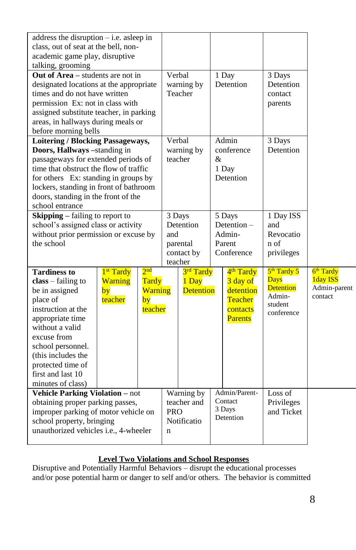| address the disruption $-$ i.e. as leep in<br>class, out of seat at the bell, non-<br>academic game play, disruptive<br>talking, grooming<br>Out of Area - students are not in<br>designated locations at the appropriate<br>times and do not have written<br>permission Ex: not in class with |                                                          |                                                             |                           | Verbal<br>warning by<br>Teacher                          |   | 1 Day<br>Detention                                                                             | 3 Days<br>Detention<br>contact<br>parents                                    |                                                              |
|------------------------------------------------------------------------------------------------------------------------------------------------------------------------------------------------------------------------------------------------------------------------------------------------|----------------------------------------------------------|-------------------------------------------------------------|---------------------------|----------------------------------------------------------|---|------------------------------------------------------------------------------------------------|------------------------------------------------------------------------------|--------------------------------------------------------------|
| assigned substitute teacher, in parking<br>areas, in hallways during meals or<br>before morning bells                                                                                                                                                                                          |                                                          |                                                             |                           |                                                          |   |                                                                                                |                                                                              |                                                              |
| Loitering / Blocking Passageways,<br>Doors, Hallways -standing in<br>passageways for extended periods of<br>time that obstruct the flow of traffic<br>for others Ex: standing in groups by<br>lockers, standing in front of bathroom<br>doors, standing in the front of the<br>school entrance |                                                          |                                                             |                           | Verbal<br>warning by<br>teacher                          | & | Admin<br>conference<br>1 Day<br>Detention                                                      | 3 Days<br>Detention                                                          |                                                              |
| <b>Skipping</b> – failing to report to<br>school's assigned class or activity<br>without prior permission or excuse by<br>the school                                                                                                                                                           |                                                          |                                                             | and                       | 3 Days<br>Detention<br>parental<br>contact by<br>teacher |   | 5 Days<br>Detention $-$<br>Admin-<br>Parent<br>Conference                                      | 1 Day ISS<br>and<br>Revocatio<br>n of<br>privileges                          |                                                              |
| <b>Tardiness to</b><br>$class - failing to$<br>be in assigned<br>place of<br>instruction at the<br>appropriate time<br>without a valid<br>excuse from<br>school personnel.<br>(this includes the<br>protected time of<br>first and last 10<br>minutes of class)                                | 1 <sup>st</sup> Tardy<br><b>Warning</b><br>by<br>teacher | 2 <sub>nd</sub><br>Tardy<br><b>Warning</b><br>by<br>teacher |                           | 3rd Tardy<br>1 Day<br><b>Detention</b>                   |   | 4 <sup>th</sup> Tardy<br>3 day of<br>detention<br><b>Teacher</b><br>contacts<br><b>Parents</b> | $5th$ Tardy 5<br>Days<br><b>Detention</b><br>Admin-<br>student<br>conference | 6 <sup>th</sup> Tardy<br>1day ISS<br>Admin-parent<br>contact |
| <b>Vehicle Parking Violation - not</b><br>obtaining proper parking passes,<br>improper parking of motor vehicle on<br>school property, bringing<br>unauthorized vehicles i.e., 4-wheeler                                                                                                       |                                                          |                                                             | <b>PRO</b><br>$\mathbf n$ | Warning by<br>teacher and<br>Notificatio                 |   | Admin/Parent-<br>Contact<br>3 Days<br>Detention                                                | Loss of<br>Privileges<br>and Ticket                                          |                                                              |

# **Level Two Violations and School Responses**

Disruptive and Potentially Harmful Behaviors – disrupt the educational processes and/or pose potential harm or danger to self and/or others. The behavior is committed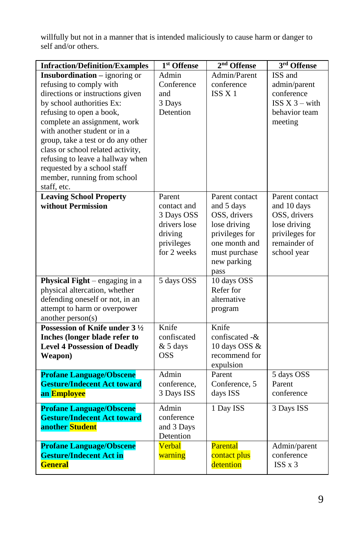willfully but not in a manner that is intended maliciously to cause harm or danger to self and/or others.

| <b>Infraction/Definition/Examples</b>                                                                                                                                                                                                                                                                                                                                                                                    | 1 <sup>st</sup> Offense                                                                     | 2 <sup>nd</sup> Offense                                                                                                                 | 3rd Offense                                                                                                    |
|--------------------------------------------------------------------------------------------------------------------------------------------------------------------------------------------------------------------------------------------------------------------------------------------------------------------------------------------------------------------------------------------------------------------------|---------------------------------------------------------------------------------------------|-----------------------------------------------------------------------------------------------------------------------------------------|----------------------------------------------------------------------------------------------------------------|
| <b>Insubordination</b> – ignoring or<br>refusing to comply with<br>directions or instructions given<br>by school authorities Ex:<br>refusing to open a book,<br>complete an assignment, work<br>with another student or in a<br>group, take a test or do any other<br>class or school related activity,<br>refusing to leave a hallway when<br>requested by a school staff<br>member, running from school<br>staff, etc. | Admin<br>Conference<br>and<br>3 Days<br>Detention                                           | Admin/Parent<br>conference<br>ISS <sub>X</sub> 1                                                                                        | ISS and<br>admin/parent<br>conference<br>$ISS X 3 - with$<br>behavior team<br>meeting                          |
| <b>Leaving School Property</b><br>without Permission                                                                                                                                                                                                                                                                                                                                                                     | Parent<br>contact and<br>3 Days OSS<br>drivers lose<br>driving<br>privileges<br>for 2 weeks | Parent contact<br>and 5 days<br>OSS, drivers<br>lose driving<br>privileges for<br>one month and<br>must purchase<br>new parking<br>pass | Parent contact<br>and 10 days<br>OSS, drivers<br>lose driving<br>privileges for<br>remainder of<br>school year |
| <b>Physical Fight</b> $-$ engaging in a<br>physical altercation, whether<br>defending oneself or not, in an<br>attempt to harm or overpower<br>another person(s)                                                                                                                                                                                                                                                         | 5 days OSS                                                                                  | 10 days OSS<br>Refer for<br>alternative<br>program                                                                                      |                                                                                                                |
| Possession of Knife under 3 1/2<br>Inches (longer blade refer to<br><b>Level 4 Possession of Deadly</b><br>Weapon)                                                                                                                                                                                                                                                                                                       | Knife<br>confiscated<br>$& 5$ days<br><b>OSS</b>                                            | Knife<br>confiscated -&<br>10 days OSS &<br>recommend for<br>expulsion                                                                  |                                                                                                                |
| <b>Profane Language/Obscene</b><br><b>Gesture/Indecent Act toward</b><br>an Employee                                                                                                                                                                                                                                                                                                                                     | Admin<br>conference,<br>3 Days ISS                                                          | Parent<br>Conference, 5<br>days ISS                                                                                                     | 5 days OSS<br>Parent<br>conference                                                                             |
| <b>Profane Language/Obscene</b><br><b>Gesture/Indecent Act toward</b><br>another Student                                                                                                                                                                                                                                                                                                                                 | Admin<br>conference<br>and 3 Days<br>Detention                                              | 1 Day ISS                                                                                                                               | 3 Days ISS                                                                                                     |
| <b>Profane Language/Obscene</b><br><b>Gesture/Indecent Act in</b><br><b>General</b>                                                                                                                                                                                                                                                                                                                                      | Verbal<br>warning                                                                           | Parental<br>contact plus<br>detention                                                                                                   | Admin/parent<br>conference<br>$ISS \times 3$                                                                   |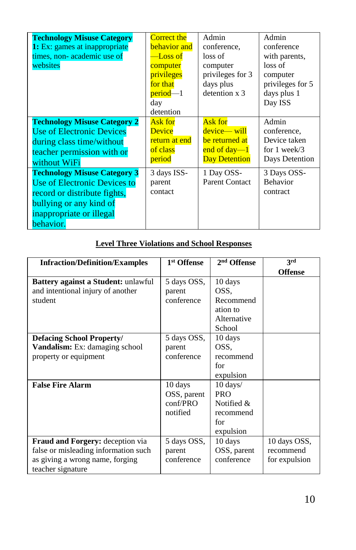| <b>Technology Misuse Category</b><br><b>1:</b> Ex: games at inappropriate<br>times, non-academic use of<br>websites                                                     | <b>Correct the</b><br><b>behavior</b> and<br>$-$ Loss of<br>computer<br>privileges<br>for that<br>period—1<br>day<br>detention | Admin<br>conference.<br>loss of<br>computer<br>privileges for 3<br>days plus<br>detention x 3 | Admin<br>conference<br>with parents,<br>loss of<br>computer<br>privileges for 5<br>days plus 1<br>Day ISS |
|-------------------------------------------------------------------------------------------------------------------------------------------------------------------------|--------------------------------------------------------------------------------------------------------------------------------|-----------------------------------------------------------------------------------------------|-----------------------------------------------------------------------------------------------------------|
| <b>Technology Misuse Category 2</b><br>Use of Electronic Devices<br>during class time/without<br>teacher permission with or<br>without WiFi                             | Ask for<br>Device<br>return at end<br>of class<br>period                                                                       | Ask for<br>device— will<br>be returned at<br>end of day— $1$<br><b>Day Detention</b>          | Admin<br>conference,<br>Device taken<br>for $1$ week/3<br>Days Detention                                  |
| <b>Technology Misuse Category 3</b><br>Use of Electronic Devices to<br>record or distribute fights,<br>bullying or any kind of<br>inappropriate or illegal<br>behavior. | 3 days ISS-<br>parent<br>contact                                                                                               | 1 Day OSS-<br><b>Parent Contact</b>                                                           | 3 Days OSS-<br><b>Behavior</b><br>contract                                                                |

# **Level Three Violations and School Responses**

| <b>Infraction/Definition/Examples</b>                                                                                            | 1 <sup>st</sup> Offense                                 | 2 <sup>nd</sup> Offense                                                           | 3rd                                        |
|----------------------------------------------------------------------------------------------------------------------------------|---------------------------------------------------------|-----------------------------------------------------------------------------------|--------------------------------------------|
|                                                                                                                                  |                                                         |                                                                                   | <b>Offense</b>                             |
| <b>Battery against a Student:</b> unlawful<br>and intentional injury of another<br>student                                       | 5 days OSS,<br>parent<br>conference                     | 10 days<br>OSS.<br>Recommend                                                      |                                            |
|                                                                                                                                  |                                                         | ation to<br>Alternative<br>School                                                 |                                            |
| Defacing School Property/                                                                                                        | 5 days OSS,                                             | 10 days                                                                           |                                            |
| <b>Vandalism:</b> Ex: damaging school<br>property or equipment                                                                   | parent<br>conference                                    | OSS.<br>recommend<br>for<br>expulsion                                             |                                            |
| <b>False Fire Alarm</b>                                                                                                          | 10 days<br>OSS, parent<br>$\text{conf/PRO}$<br>notified | $10 \text{ days}$<br><b>PRO</b><br>Notified $\&$<br>recommend<br>for<br>expulsion |                                            |
| Fraud and Forgery: deception via<br>false or misleading information such<br>as giving a wrong name, forging<br>teacher signature | 5 days OSS,<br>parent<br>conference                     | 10 days<br>OSS, parent<br>conference                                              | 10 days OSS,<br>recommend<br>for expulsion |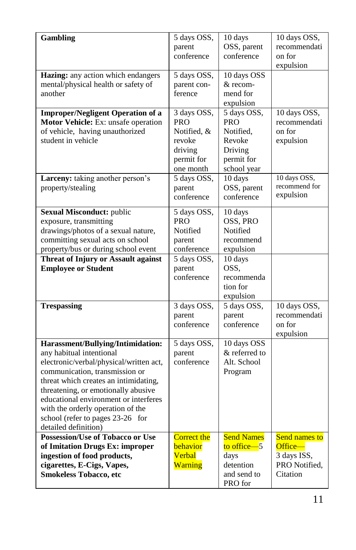| <b>Gambling</b>                                           | 5 days OSS,              | 10 days                | 10 days OSS,           |
|-----------------------------------------------------------|--------------------------|------------------------|------------------------|
|                                                           | parent                   | OSS, parent            | recommendati           |
|                                                           | conference               | conference             | on for                 |
|                                                           |                          |                        | expulsion              |
| Hazing: any action which endangers                        | 5 days OSS,              | 10 days OSS            |                        |
| mental/physical health or safety of                       | parent con-              | & recom-               |                        |
| another                                                   | ference                  | mend for               |                        |
|                                                           |                          | expulsion              |                        |
| <b>Improper/Negligent Operation of a</b>                  | 3 days OSS,              | 5 days OSS,            | 10 days OSS,           |
| Motor Vehicle: Ex: unsafe operation                       | PRO                      | <b>PRO</b>             | recommendati           |
| of vehicle, having unauthorized                           | Notified, &              | Notified.              | on for                 |
| student in vehicle                                        | revoke                   | Revoke                 | expulsion              |
|                                                           | driving                  | Driving                |                        |
|                                                           | permit for               | permit for             |                        |
|                                                           | one month<br>5 days OSS, | school year<br>10 days | 10 days OSS,           |
| Larceny: taking another person's                          |                          | OSS, parent            | recommend for          |
| property/stealing                                         | parent<br>conference     | conference             | expulsion              |
|                                                           |                          |                        |                        |
| <b>Sexual Misconduct: public</b>                          | 5 days OSS,              | 10 days                |                        |
| exposure, transmitting                                    | <b>PRO</b>               | OSS, PRO               |                        |
| drawings/photos of a sexual nature,                       | Notified                 | Notified               |                        |
| committing sexual acts on school                          | parent                   | recommend              |                        |
| property/bus or during school event                       | conference               | expulsion              |                        |
| <b>Threat of Injury or Assault against</b>                | 5 days OSS,              | 10 days                |                        |
| <b>Employee or Student</b>                                | parent                   | OSS.                   |                        |
|                                                           | conference               | recommenda<br>tion for |                        |
|                                                           |                          | expulsion              |                        |
| <b>Trespassing</b>                                        | 3 days OSS,              | 5 days OSS,            | 10 days OSS,           |
|                                                           | parent                   | parent                 | recommendati           |
|                                                           | conference               | conference             | on for                 |
|                                                           |                          |                        | expulsion              |
| Harassment/Bullying/Intimidation:                         | 5 days OSS,              | 10 days OSS            |                        |
| any habitual intentional                                  | parent                   | & referred to          |                        |
| electronic/verbal/physical/written act,                   | conference               | Alt. School            |                        |
| communication, transmission or                            |                          | Program                |                        |
| threat which creates an intimidating,                     |                          |                        |                        |
| threatening, or emotionally abusive                       |                          |                        |                        |
| educational environment or interferes                     |                          |                        |                        |
| with the orderly operation of the                         |                          |                        |                        |
| school (refer to pages 23-26 for                          |                          |                        |                        |
| detailed definition)                                      |                          |                        |                        |
| <b>Possession/Use of Tobacco or Use</b>                   | <b>Correct the</b>       | <b>Send Names</b>      | <b>Send names to</b>   |
| of Imitation Drugs Ex: improper                           | behavior                 | to office $-5$<br>days | Office-<br>3 days ISS, |
| ingestion of food products,<br>cigarettes, E-Cigs, Vapes, | Verbal<br>Warning        | detention              | PRO Notified.          |
| <b>Smokeless Tobacco, etc</b>                             |                          | and send to            | Citation               |
|                                                           |                          | PRO for                |                        |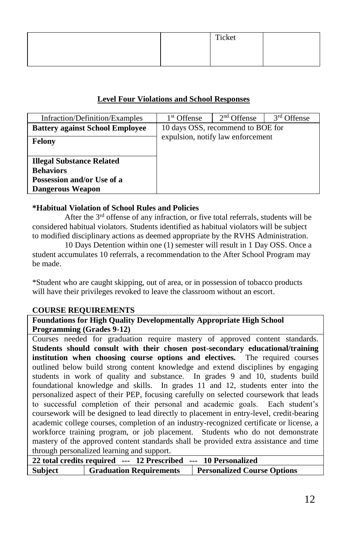|  | Ticket |  |
|--|--------|--|
|  |        |  |
|  |        |  |

## **Level Four Violations and School Responses**

| Infraction/Definition/Examples         | 1 <sup>st</sup> Offense           | 2 <sup>nd</sup> Offense | 3 <sup>rd</sup> Offense |
|----------------------------------------|-----------------------------------|-------------------------|-------------------------|
| <b>Battery against School Employee</b> | 10 days OSS, recommend to BOE for |                         |                         |
| Felony                                 | expulsion, notify law enforcement |                         |                         |
|                                        |                                   |                         |                         |
| <b>Illegal Substance Related</b>       |                                   |                         |                         |
| <b>Behaviors</b>                       |                                   |                         |                         |
| Possession and/or Use of a             |                                   |                         |                         |
| <b>Dangerous Weapon</b>                |                                   |                         |                         |

### **\*Habitual Violation of School Rules and Policies**

After the  $3<sup>rd</sup>$  offense of any infraction, or five total referrals, students will be considered habitual violators. Students identified as habitual violators will be subject to modified disciplinary actions as deemed appropriate by the RVHS Administration.

10 Days Detention within one (1) semester will result in 1 Day OSS. Once a student accumulates 10 referrals, a recommendation to the After School Program may be made.

\*Student who are caught skipping, out of area, or in possession of tobacco products will have their privileges revoked to leave the classroom without an escort.

#### **COURSE REQUIREMENTS**

**Foundations for High Quality Developmentally Appropriate High School Programming (Grades 9-12)**

Courses needed for graduation require mastery of approved content standards. **Students should consult with their chosen post-secondary educational/training institution when choosing course options and electives.** The required courses outlined below build strong content knowledge and extend disciplines by engaging students in work of quality and substance. In grades 9 and 10, students build foundational knowledge and skills. In grades 11 and 12, students enter into the personalized aspect of their PEP, focusing carefully on selected coursework that leads to successful completion of their personal and academic goals. Each student's coursework will be designed to lead directly to placement in entry-level, credit-bearing academic college courses, completion of an industry-recognized certificate or license, a workforce training program, or job placement. Students who do not demonstrate mastery of the approved content standards shall be provided extra assistance and time through personalized learning and support.

|         |                                | 22 total credits required --- 12 Prescribed --- 10 Personalized |  |
|---------|--------------------------------|-----------------------------------------------------------------|--|
| Subject | <b>Graduation Requirements</b> | <b>Personalized Course Options</b>                              |  |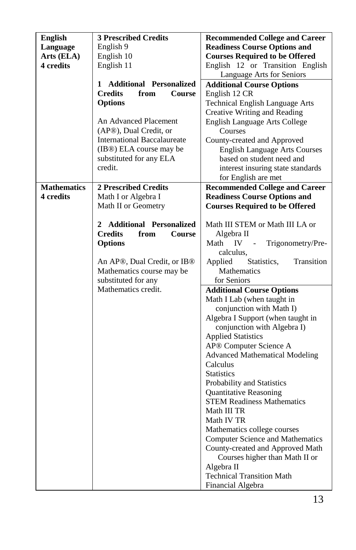| English            | <b>3 Prescribed Credits</b>                          | <b>Recommended College and Career</b>   |
|--------------------|------------------------------------------------------|-----------------------------------------|
| Language           | English 9                                            | <b>Readiness Course Options and</b>     |
| Arts (ELA)         | English 10                                           | <b>Courses Required to be Offered</b>   |
| 4 credits          | English 11                                           | English 12 or Transition English        |
|                    |                                                      | Language Arts for Seniors               |
|                    | 1 Additional Personalized                            | <b>Additional Course Options</b>        |
|                    | <b>Credits</b><br>from<br>Course                     | English 12 CR                           |
|                    | <b>Options</b>                                       | <b>Technical English Language Arts</b>  |
|                    |                                                      | Creative Writing and Reading            |
|                    | An Advanced Placement                                | English Language Arts College           |
|                    | (AP®), Dual Credit, or                               | Courses                                 |
|                    | <b>International Baccalaureate</b>                   | County-created and Approved             |
|                    | (IB®) ELA course may be                              | <b>English Language Arts Courses</b>    |
|                    | substituted for any ELA                              | based on student need and               |
|                    | credit.                                              | interest insuring state standards       |
|                    |                                                      | for English are met                     |
| <b>Mathematics</b> | <b>2 Prescribed Credits</b>                          | <b>Recommended College and Career</b>   |
| 4 credits          | Math I or Algebra I                                  | <b>Readiness Course Options and</b>     |
|                    | Math II or Geometry                                  | <b>Courses Required to be Offered</b>   |
|                    |                                                      |                                         |
|                    | 2 Additional Personalized                            | Math III STEM or Math III LA or         |
|                    | <b>Credits</b><br>from<br>Course                     | Algebra II                              |
|                    | <b>Options</b>                                       | Math<br>IV<br>Trigonometry/Pre-         |
|                    |                                                      | calculus,                               |
|                    | An AP <sup>®</sup> , Dual Credit, or IB <sup>®</sup> | Statistics,<br>Applied<br>Transition    |
|                    | Mathematics course may be                            | Mathematics                             |
|                    | substituted for any                                  | for Seniors                             |
|                    | Mathematics credit.                                  | <b>Additional Course Options</b>        |
|                    |                                                      | Math I Lab (when taught in              |
|                    |                                                      | conjunction with Math I)                |
|                    |                                                      | Algebra I Support (when taught in       |
|                    |                                                      | conjunction with Algebra I)             |
|                    |                                                      | <b>Applied Statistics</b>               |
|                    |                                                      | AP® Computer Science A                  |
|                    |                                                      | <b>Advanced Mathematical Modeling</b>   |
|                    |                                                      | Calculus                                |
|                    |                                                      | <b>Statistics</b>                       |
|                    |                                                      | Probability and Statistics              |
|                    |                                                      | Quantitative Reasoning                  |
|                    |                                                      | <b>STEM Readiness Mathematics</b>       |
|                    |                                                      | Math III TR                             |
|                    |                                                      | Math IV TR                              |
|                    |                                                      | Mathematics college courses             |
|                    |                                                      | <b>Computer Science and Mathematics</b> |
|                    |                                                      | County-created and Approved Math        |
|                    |                                                      | Courses higher than Math II or          |
|                    |                                                      | Algebra II                              |
|                    |                                                      | <b>Technical Transition Math</b>        |
|                    |                                                      | Financial Algebra                       |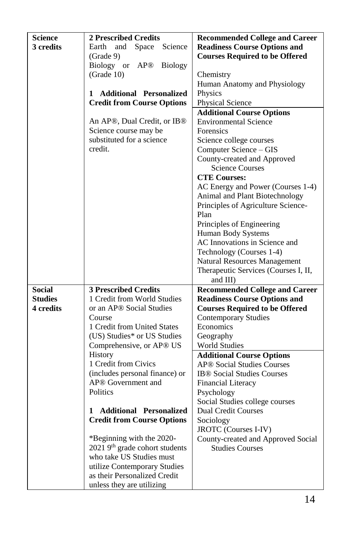| <b>Science</b> | <b>2 Prescribed Credits</b>                                      | <b>Recommended College and Career</b>        |
|----------------|------------------------------------------------------------------|----------------------------------------------|
| 3 credits      | Science<br>Earth<br>and<br>Space                                 | <b>Readiness Course Options and</b>          |
|                | (Grade 9)                                                        | <b>Courses Required to be Offered</b>        |
|                | Biology or<br>AP@<br><b>Biology</b>                              |                                              |
|                | (Grade 10)                                                       | Chemistry                                    |
|                |                                                                  | Human Anatomy and Physiology                 |
|                | <b>Additional Personalized</b><br>1                              | Physics                                      |
|                | <b>Credit from Course Options</b>                                | Physical Science                             |
|                |                                                                  | <b>Additional Course Options</b>             |
|                | An AP®, Dual Credit, or IB®                                      | Environmental Science                        |
|                | Science course may be                                            | Forensics                                    |
|                | substituted for a science                                        | Science college courses                      |
|                | credit.                                                          | Computer Science - GIS                       |
|                |                                                                  | County-created and Approved                  |
|                |                                                                  | <b>Science Courses</b>                       |
|                |                                                                  | <b>CTE Courses:</b>                          |
|                |                                                                  | AC Energy and Power (Courses 1-4)            |
|                |                                                                  | Animal and Plant Biotechnology               |
|                |                                                                  | Principles of Agriculture Science-           |
|                |                                                                  | Plan                                         |
|                |                                                                  | Principles of Engineering                    |
|                |                                                                  | Human Body Systems                           |
|                |                                                                  | AC Innovations in Science and                |
|                |                                                                  | Technology (Courses 1-4)                     |
|                |                                                                  | <b>Natural Resources Management</b>          |
|                |                                                                  | Therapeutic Services (Courses I, II,         |
|                |                                                                  | and III)                                     |
| <b>Social</b>  | <b>3 Prescribed Credits</b>                                      | <b>Recommended College and Career</b>        |
| <b>Studies</b> | 1 Credit from World Studies                                      | <b>Readiness Course Options and</b>          |
| 4 credits      | or an AP® Social Studies                                         | <b>Courses Required to be Offered</b>        |
|                | Course                                                           | <b>Contemporary Studies</b>                  |
|                | 1 Credit from United States                                      | Economics                                    |
|                | (US) Studies* or US Studies                                      | Geography                                    |
|                | Comprehensive, or AP <sup>®</sup> US                             | <b>World Studies</b>                         |
|                | History                                                          | <b>Additional Course Options</b>             |
|                | 1 Credit from Civics                                             | <b>AP® Social Studies Courses</b>            |
|                | (includes personal finance) or<br>AP <sup>®</sup> Government and | <b>IB<sup>®</sup></b> Social Studies Courses |
|                | Politics                                                         | <b>Financial Literacy</b>                    |
|                |                                                                  | Psychology<br>Social Studies college courses |
|                | <b>Additional Personalized</b><br>1                              | <b>Dual Credit Courses</b>                   |
|                | <b>Credit from Course Options</b>                                | Sociology                                    |
|                |                                                                  | JROTC (Courses I-IV)                         |
|                | *Beginning with the 2020-                                        | County-created and Approved Social           |
|                | 2021 9 <sup>th</sup> grade cohort students                       | <b>Studies Courses</b>                       |
|                | who take US Studies must                                         |                                              |
|                | utilize Contemporary Studies                                     |                                              |
|                | as their Personalized Credit                                     |                                              |
|                | unless they are utilizing                                        |                                              |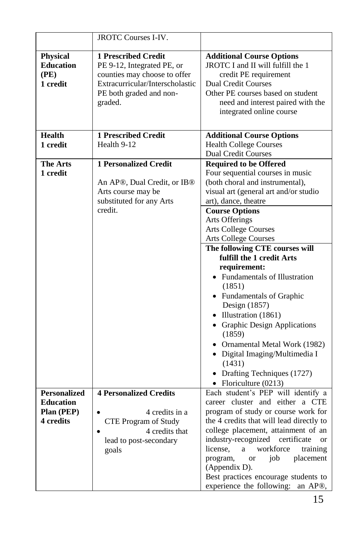|                                                         | <b>JROTC Courses I-IV.</b>                                                                                                                                 |                                                                                                                                                                                                                                    |
|---------------------------------------------------------|------------------------------------------------------------------------------------------------------------------------------------------------------------|------------------------------------------------------------------------------------------------------------------------------------------------------------------------------------------------------------------------------------|
|                                                         |                                                                                                                                                            |                                                                                                                                                                                                                                    |
| <b>Physical</b><br><b>Education</b><br>(PE)<br>1 credit | 1 Prescribed Credit<br>PE 9-12, Integrated PE, or<br>counties may choose to offer<br>Extracurricular/Interscholastic<br>PE both graded and non-<br>graded. | <b>Additional Course Options</b><br>JROTC I and II will fulfill the 1<br>credit PE requirement<br><b>Dual Credit Courses</b><br>Other PE courses based on student<br>need and interest paired with the<br>integrated online course |
| <b>Health</b>                                           | <b>1 Prescribed Credit</b>                                                                                                                                 | <b>Additional Course Options</b>                                                                                                                                                                                                   |
| 1 credit                                                | Health 9-12                                                                                                                                                | Health College Courses<br>Dual Credit Courses                                                                                                                                                                                      |
| The Arts                                                | <b>1 Personalized Credit</b>                                                                                                                               | <b>Required to be Offered</b>                                                                                                                                                                                                      |
| 1 credit                                                |                                                                                                                                                            | Four sequential courses in music                                                                                                                                                                                                   |
|                                                         | An AP®, Dual Credit, or IB®                                                                                                                                | (both choral and instrumental),                                                                                                                                                                                                    |
|                                                         | Arts course may be                                                                                                                                         | visual art (general art and/or studio                                                                                                                                                                                              |
|                                                         | substituted for any Arts                                                                                                                                   | art), dance, theatre                                                                                                                                                                                                               |
|                                                         | credit.                                                                                                                                                    | <b>Course Options</b>                                                                                                                                                                                                              |
|                                                         |                                                                                                                                                            | Arts Offerings                                                                                                                                                                                                                     |
|                                                         |                                                                                                                                                            | <b>Arts College Courses</b>                                                                                                                                                                                                        |
|                                                         |                                                                                                                                                            | <b>Arts College Courses</b>                                                                                                                                                                                                        |
|                                                         |                                                                                                                                                            | The following CTE courses will                                                                                                                                                                                                     |
|                                                         |                                                                                                                                                            | fulfill the 1 credit Arts                                                                                                                                                                                                          |
|                                                         |                                                                                                                                                            | requirement:                                                                                                                                                                                                                       |
|                                                         |                                                                                                                                                            | • Fundamentals of Illustration                                                                                                                                                                                                     |
|                                                         |                                                                                                                                                            | (1851)                                                                                                                                                                                                                             |
|                                                         |                                                                                                                                                            | • Fundamentals of Graphic<br>Design (1857)                                                                                                                                                                                         |
|                                                         |                                                                                                                                                            | $\bullet$ Illustration (1861)                                                                                                                                                                                                      |
|                                                         |                                                                                                                                                            | • Graphic Design Applications                                                                                                                                                                                                      |
|                                                         |                                                                                                                                                            | (1859)                                                                                                                                                                                                                             |
|                                                         |                                                                                                                                                            | • Ornamental Metal Work (1982)                                                                                                                                                                                                     |
|                                                         |                                                                                                                                                            | · Digital Imaging/Multimedia I                                                                                                                                                                                                     |
|                                                         |                                                                                                                                                            | (1431)                                                                                                                                                                                                                             |
|                                                         |                                                                                                                                                            | • Drafting Techniques (1727)                                                                                                                                                                                                       |
|                                                         |                                                                                                                                                            | • Floriculture $(0213)$                                                                                                                                                                                                            |
| <b>Personalized</b>                                     | <b>4 Personalized Credits</b>                                                                                                                              | Each student's PEP will identify a                                                                                                                                                                                                 |
| <b>Education</b>                                        |                                                                                                                                                            | career cluster and either a CTE                                                                                                                                                                                                    |
| Plan (PEP)                                              | 4 credits in a                                                                                                                                             | program of study or course work for                                                                                                                                                                                                |
| 4 credits                                               | CTE Program of Study                                                                                                                                       | the 4 credits that will lead directly to                                                                                                                                                                                           |
|                                                         | 4 credits that                                                                                                                                             | college placement, attainment of an                                                                                                                                                                                                |
|                                                         | lead to post-secondary                                                                                                                                     | industry-recognized certificate<br><b>or</b>                                                                                                                                                                                       |
|                                                         | goals                                                                                                                                                      | workforce<br>training<br>license,<br>$\mathbf{a}$                                                                                                                                                                                  |
|                                                         |                                                                                                                                                            | placement<br>program,<br>job<br><b>or</b>                                                                                                                                                                                          |
|                                                         |                                                                                                                                                            |                                                                                                                                                                                                                                    |
|                                                         |                                                                                                                                                            |                                                                                                                                                                                                                                    |
|                                                         |                                                                                                                                                            | (Appendix D).<br>Best practices encourage students to<br>experience the following: an AP®,                                                                                                                                         |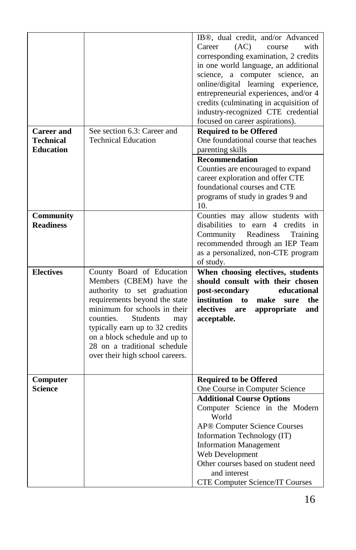|                                                           |                                                                                                                                                                                                                                                                                                                                    | IB <sup>®</sup> , dual credit, and/or Advanced<br>Career<br>(AC)<br>with<br>course<br>corresponding examination, 2 credits<br>in one world language, an additional<br>science, a computer science,<br>an<br>online/digital learning experience,<br>entrepreneurial experiences, and/or 4                                                                           |
|-----------------------------------------------------------|------------------------------------------------------------------------------------------------------------------------------------------------------------------------------------------------------------------------------------------------------------------------------------------------------------------------------------|--------------------------------------------------------------------------------------------------------------------------------------------------------------------------------------------------------------------------------------------------------------------------------------------------------------------------------------------------------------------|
|                                                           |                                                                                                                                                                                                                                                                                                                                    | credits (culminating in acquisition of<br>industry-recognized CTE credential<br>focused on career aspirations).                                                                                                                                                                                                                                                    |
| <b>Career</b> and<br><b>Technical</b><br><b>Education</b> | See section 6.3: Career and<br><b>Technical Education</b>                                                                                                                                                                                                                                                                          | <b>Required to be Offered</b><br>One foundational course that teaches<br>parenting skills                                                                                                                                                                                                                                                                          |
|                                                           |                                                                                                                                                                                                                                                                                                                                    | <b>Recommendation</b><br>Counties are encouraged to expand<br>career exploration and offer CTE<br>foundational courses and CTE<br>programs of study in grades 9 and<br>10.                                                                                                                                                                                         |
| Community<br><b>Readiness</b>                             |                                                                                                                                                                                                                                                                                                                                    | Counties may allow students with<br>disabilities to earn 4 credits in<br>Community<br>Readiness<br>Training<br>recommended through an IEP Team<br>as a personalized, non-CTE program<br>of study.                                                                                                                                                                  |
| <b>Electives</b>                                          | County Board of Education<br>Members (CBEM) have the<br>authority to set graduation<br>requirements beyond the state<br>minimum for schools in their<br>counties.<br><b>Students</b><br>may<br>typically earn up to 32 credits<br>on a block schedule and up to<br>28 on a traditional schedule<br>over their high school careers. | When choosing electives, students<br>should consult with their chosen<br>post-secondary<br>educational<br>institution<br>make<br>to<br>sure<br>the<br>electives<br>are<br>appropriate<br>and<br>acceptable.                                                                                                                                                        |
| Computer<br><b>Science</b>                                |                                                                                                                                                                                                                                                                                                                                    | <b>Required to be Offered</b><br>One Course in Computer Science<br><b>Additional Course Options</b><br>Computer Science in the Modern<br>World<br>AP® Computer Science Courses<br>Information Technology (IT)<br><b>Information Management</b><br>Web Development<br>Other courses based on student need<br>and interest<br><b>CTE Computer Science/IT Courses</b> |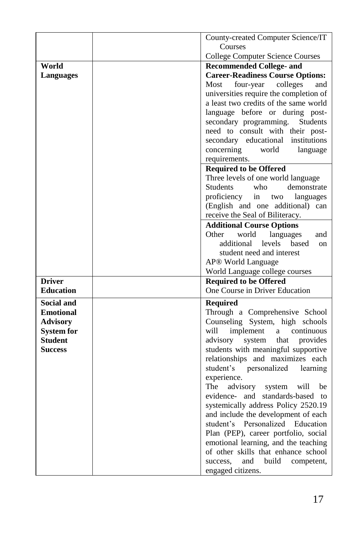|                   | County-created Computer Science/IT      |
|-------------------|-----------------------------------------|
|                   | Courses                                 |
|                   | <b>College Computer Science Courses</b> |
| World             | <b>Recommended College- and</b>         |
| Languages         | <b>Career-Readiness Course Options:</b> |
|                   | Most<br>four-year colleges<br>and       |
|                   | universities require the completion of  |
|                   | a least two credits of the same world   |
|                   | language before or during post-         |
|                   | secondary programming.<br>Students      |
|                   | need to consult with their post-        |
|                   | secondary educational institutions      |
|                   | concerning<br>world<br>language         |
|                   | requirements.                           |
|                   | <b>Required to be Offered</b>           |
|                   | Three levels of one world language      |
|                   | demonstrate<br><b>Students</b><br>who   |
|                   | proficiency<br>in<br>two<br>languages   |
|                   | (English and one additional) can        |
|                   | receive the Seal of Biliteracy.         |
|                   | <b>Additional Course Options</b>        |
|                   | Other<br>world<br>languages<br>and      |
|                   | levels<br>additional<br>based<br>on     |
|                   | student need and interest               |
|                   | AP <sup>®</sup> World Language          |
|                   | World Language college courses          |
| <b>Driver</b>     | <b>Required to be Offered</b>           |
| <b>Education</b>  | One Course in Driver Education          |
| <b>Social and</b> | <b>Required</b>                         |
| <b>Emotional</b>  | Through a Comprehensive School          |
| <b>Advisory</b>   | Counseling System, high schools         |
| <b>System for</b> | will<br>continuous<br>implement<br>a    |
| <b>Student</b>    | advisory<br>system<br>that<br>provides  |
| Success           | students with meaningful supportive     |
|                   | relationships and maximizes each        |
|                   | student's personalized<br>learning      |
|                   | experience.                             |
|                   | The<br>advisory<br>will<br>system<br>be |
|                   | evidence- and standards-based to        |
|                   | systemically address Policy 2520.19     |
|                   | and include the development of each     |
|                   | student's Personalized<br>Education     |
|                   | Plan (PEP), career portfolio, social    |
|                   | emotional learning, and the teaching    |
|                   | of other skills that enhance school     |
|                   | success,<br>and<br>build<br>competent,  |
|                   | engaged citizens.                       |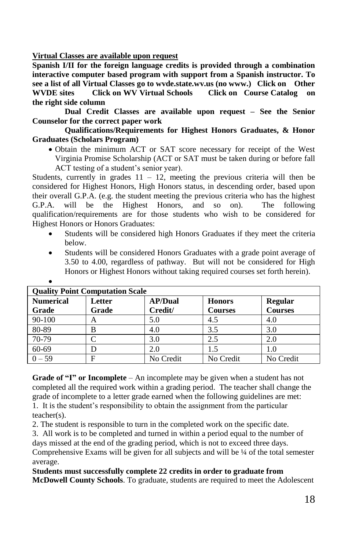**Virtual Classes are available upon request**

**Spanish I/II for the foreign language credits is provided through a combination interactive computer based program with support from a Spanish instructor. To see a list of all Virtual Classes go to wvde.state.wv.us (no www.) Click on Other WVDE sites Click on WV Virtual Schools Click on Course Catalog on the right side column**

**Dual Credit Classes are available upon request – See the Senior Counselor for the correct paper work**

**Qualifications/Requirements for Highest Honors Graduates, & Honor Graduates (Scholars Program)**

 Obtain the minimum ACT or SAT score necessary for receipt of the West Virginia Promise Scholarship (ACT or SAT must be taken during or before fall ACT testing of a student's senior year).

Students, currently in grades  $11 - 12$ , meeting the previous criteria will then be considered for Highest Honors, High Honors status, in descending order, based upon their overall G.P.A. (e.g. the student meeting the previous criteria who has the highest G.P.A. will be the Highest Honors, and so on). The following qualification/requirements are for those students who wish to be considered for Highest Honors or Honors Graduates:

- Students will be considered high Honors Graduates if they meet the criteria below.
- Students will be considered Honors Graduates with a grade point average of 3.50 to 4.00, regardless of pathway. But will not be considered for High Honors or Highest Honors without taking required courses set forth herein).

|                  | <b>Ouality Point Computation Scale</b> |                |                |                |
|------------------|----------------------------------------|----------------|----------------|----------------|
| <b>Numerical</b> | Letter                                 | <b>AP/Dual</b> | <b>Honors</b>  | <b>Regular</b> |
| Grade            | Grade                                  | Credit/        | <b>Courses</b> | <b>Courses</b> |
| $90 - 100$       | А                                      | 5.0            | 4.5            | 4.0            |
| 80-89            | В                                      | 4.0            | 3.5            | 3.0            |
| 70-79            |                                        | 3.0            | 2.5            | 2.0            |
| 60-69            |                                        | 2.0            | 1.5            | 1.0            |
| $0 - 59$         |                                        | No Credit      | No Credit      | No Credit      |

**Grade of "I" or Incomplete** – An incomplete may be given when a student has not completed all the required work within a grading period. The teacher shall change the grade of incomplete to a letter grade earned when the following guidelines are met: 1. It is the student's responsibility to obtain the assignment from the particular teacher(s).

2. The student is responsible to turn in the completed work on the specific date.

3. All work is to be completed and turned in within a period equal to the number of days missed at the end of the grading period, which is not to exceed three days.

Comprehensive Exams will be given for all subjects and will be ¼ of the total semester average.

**Students must successfully complete 22 credits in order to graduate from McDowell County Schools**. To graduate, students are required to meet the Adolescent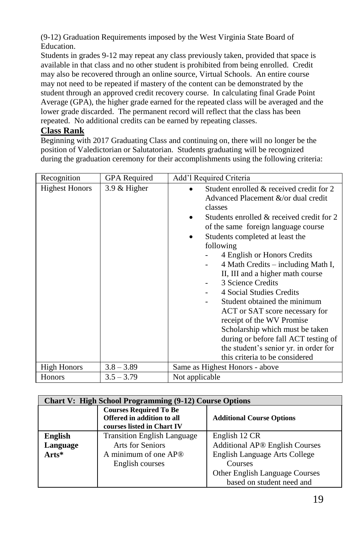(9-12) Graduation Requirements imposed by the West Virginia State Board of Education.

Students in grades 9-12 may repeat any class previously taken, provided that space is available in that class and no other student is prohibited from being enrolled. Credit may also be recovered through an online source, Virtual Schools. An entire course may not need to be repeated if mastery of the content can be demonstrated by the student through an approved credit recovery course. In calculating final Grade Point Average (GPA), the higher grade earned for the repeated class will be averaged and the lower grade discarded. The permanent record will reflect that the class has been repeated. No additional credits can be earned by repeating classes.

# **Class Rank**

Beginning with 2017 Graduating Class and continuing on, there will no longer be the position of Valedictorian or Salutatorian. Students graduating will be recognized during the graduation ceremony for their accomplishments using the following criteria:

| Recognition           | <b>GPA</b> Required | Add'l Required Criteria                                                                                                                                                                                                                                                                                                                                                                                                                                                                                                                                                                                                                                                   |
|-----------------------|---------------------|---------------------------------------------------------------------------------------------------------------------------------------------------------------------------------------------------------------------------------------------------------------------------------------------------------------------------------------------------------------------------------------------------------------------------------------------------------------------------------------------------------------------------------------------------------------------------------------------------------------------------------------------------------------------------|
| <b>Highest Honors</b> | $3.9 \&$ Higher     | Student enrolled & received credit for 2<br>Advanced Placement &/or dual credit<br>classes<br>Students enrolled & received credit for 2<br>of the same foreign language course<br>Students completed at least the<br>following<br>4 English or Honors Credits<br>4 Math Credits – including Math I,<br>$\overline{\phantom{0}}$<br>II, III and a higher math course<br>3 Science Credits<br>4 Social Studies Credits<br>Student obtained the minimum<br>ACT or SAT score necessary for<br>receipt of the WV Promise<br>Scholarship which must be taken<br>during or before fall ACT testing of<br>the student's senior yr. in order for<br>this criteria to be considered |
| <b>High Honors</b>    | $3.8 - 3.89$        | Same as Highest Honors - above                                                                                                                                                                                                                                                                                                                                                                                                                                                                                                                                                                                                                                            |
| Honors                | $3.5 - 3.79$        | Not applicable                                                                                                                                                                                                                                                                                                                                                                                                                                                                                                                                                                                                                                                            |

| <b>Chart V: High School Programming (9-12) Course Options</b> |                                                                                           |                                  |
|---------------------------------------------------------------|-------------------------------------------------------------------------------------------|----------------------------------|
|                                                               | <b>Courses Required To Be</b><br>Offered in addition to all<br>courses listed in Chart IV | <b>Additional Course Options</b> |
| <b>English</b>                                                | <b>Transition English Language</b>                                                        | English 12 CR                    |
| Language                                                      | Arts for Seniors                                                                          | Additional AP® English Courses   |
| Arts*                                                         | A minimum of one AP®                                                                      | English Language Arts College    |
|                                                               | English courses                                                                           | Courses                          |
|                                                               |                                                                                           | Other English Language Courses   |
|                                                               |                                                                                           | based on student need and        |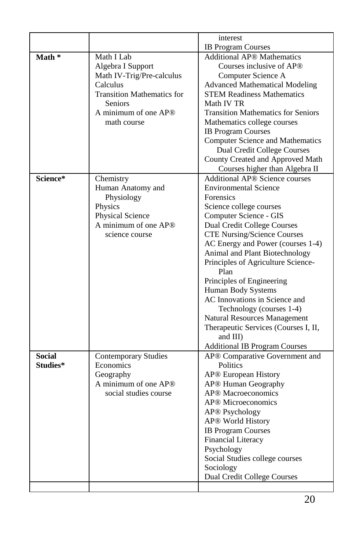|               |                                   | interest                                                       |
|---------------|-----------------------------------|----------------------------------------------------------------|
| Math *        | Math I Lab                        | <b>IB Program Courses</b><br><b>Additional AP® Mathematics</b> |
|               | Algebra I Support                 | Courses inclusive of AP®                                       |
|               | Math IV-Trig/Pre-calculus         | Computer Science A                                             |
|               | Calculus                          | <b>Advanced Mathematical Modeling</b>                          |
|               | <b>Transition Mathematics for</b> | <b>STEM Readiness Mathematics</b>                              |
|               | <b>Seniors</b>                    | Math IV TR                                                     |
|               | A minimum of one AP®              | <b>Transition Mathematics for Seniors</b>                      |
|               | math course                       | Mathematics college courses                                    |
|               |                                   | <b>IB Program Courses</b>                                      |
|               |                                   | <b>Computer Science and Mathematics</b>                        |
|               |                                   | <b>Dual Credit College Courses</b>                             |
|               |                                   | County Created and Approved Math                               |
|               |                                   | Courses higher than Algebra II                                 |
| Science*      | Chemistry                         | <b>Additional AP® Science courses</b>                          |
|               | Human Anatomy and                 | <b>Environmental Science</b>                                   |
|               | Physiology                        | <b>Forensics</b>                                               |
|               | Physics                           | Science college courses                                        |
|               | Physical Science                  | Computer Science - GIS                                         |
|               | A minimum of one AP®              | Dual Credit College Courses                                    |
|               | science course                    | <b>CTE Nursing/Science Courses</b>                             |
|               |                                   | AC Energy and Power (courses 1-4)                              |
|               |                                   | Animal and Plant Biotechnology                                 |
|               |                                   | Principles of Agriculture Science-<br>Plan                     |
|               |                                   | Principles of Engineering                                      |
|               |                                   | Human Body Systems                                             |
|               |                                   | AC Innovations in Science and                                  |
|               |                                   | Technology (courses 1-4)                                       |
|               |                                   | <b>Natural Resources Management</b>                            |
|               |                                   | Therapeutic Services (Courses I, II,                           |
|               |                                   | and III)                                                       |
|               |                                   | <b>Additional IB Program Courses</b>                           |
| <b>Social</b> | <b>Contemporary Studies</b>       | AP® Comparative Government and                                 |
| Studies*      | Economics                         | Politics                                                       |
|               | Geography                         | AP® European History                                           |
|               | A minimum of one AP®              | AP® Human Geography                                            |
|               | social studies course             | AP <sup>®</sup> Macroeconomics                                 |
|               |                                   | AP <sup>®</sup> Microeconomics                                 |
|               |                                   | AP® Psychology                                                 |
|               |                                   | AP® World History                                              |
|               |                                   | <b>IB Program Courses</b>                                      |
|               |                                   | <b>Financial Literacy</b>                                      |
|               |                                   | Psychology                                                     |
|               |                                   | Social Studies college courses                                 |
|               |                                   | Sociology                                                      |
|               |                                   | Dual Credit College Courses                                    |
|               |                                   |                                                                |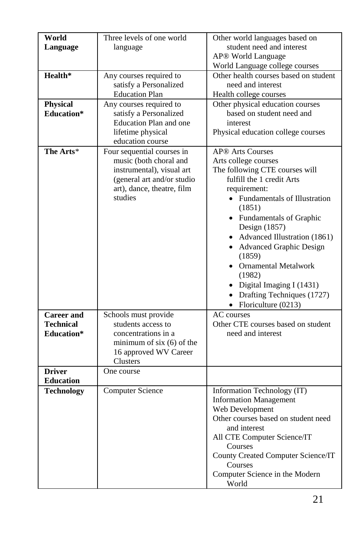| World<br>Language<br>Health*<br><b>Physical</b><br><b>Education*</b> | Three levels of one world<br>language<br>Any courses required to<br>satisfy a Personalized<br><b>Education Plan</b><br>Any courses required to<br>satisfy a Personalized<br>Education Plan and one<br>lifetime physical<br>education course | Other world languages based on<br>student need and interest<br><b>AP<sup>®</sup></b> World Language<br>World Language college courses<br>Other health courses based on student<br>need and interest<br>Health college courses<br>Other physical education courses<br>based on student need and<br>interest<br>Physical education college courses                                                                                      |
|----------------------------------------------------------------------|---------------------------------------------------------------------------------------------------------------------------------------------------------------------------------------------------------------------------------------------|---------------------------------------------------------------------------------------------------------------------------------------------------------------------------------------------------------------------------------------------------------------------------------------------------------------------------------------------------------------------------------------------------------------------------------------|
| The Arts*                                                            | Four sequential courses in<br>music (both choral and<br>instrumental), visual art<br>(general art and/or studio<br>art), dance, theatre, film<br>studies                                                                                    | AP <sup>®</sup> Arts Courses<br>Arts college courses<br>The following CTE courses will<br>fulfill the 1 credit Arts<br>requirement:<br>• Fundamentals of Illustration<br>(1851)<br>• Fundamentals of Graphic<br>Design (1857)<br>• Advanced Illustration (1861)<br>• Advanced Graphic Design<br>(1859)<br>• Ornamental Metalwork<br>(1982)<br>• Digital Imaging I (1431)<br>• Drafting Techniques $(1727)$<br>• Floriculture $(0213)$ |
| <b>Career</b> and<br><b>Technical</b><br>Education*                  | Schools must provide<br>students access to<br>concentrations in a<br>minimum of six $(6)$ of the<br>16 approved WV Career<br>Clusters                                                                                                       | AC courses<br>Other CTE courses based on student<br>need and interest                                                                                                                                                                                                                                                                                                                                                                 |
| <b>Driver</b><br><b>Education</b>                                    | One course                                                                                                                                                                                                                                  |                                                                                                                                                                                                                                                                                                                                                                                                                                       |
| <b>Technology</b>                                                    | Computer Science                                                                                                                                                                                                                            | Information Technology (IT)<br><b>Information Management</b><br>Web Development<br>Other courses based on student need<br>and interest<br>All CTE Computer Science/IT<br>Courses<br>County Created Computer Science/IT<br>Courses<br>Computer Science in the Modern<br>World                                                                                                                                                          |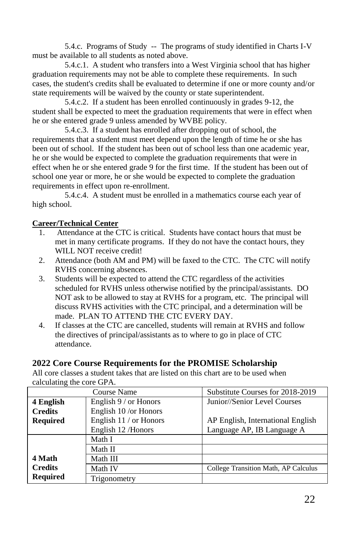5.4.c. Programs of Study -- The programs of study identified in Charts I-V must be available to all students as noted above.

5.4.c.1. A student who transfers into a West Virginia school that has higher graduation requirements may not be able to complete these requirements. In such cases, the student's credits shall be evaluated to determine if one or more county and/or state requirements will be waived by the county or state superintendent.

5.4.c.2. If a student has been enrolled continuously in grades 9-12, the student shall be expected to meet the graduation requirements that were in effect when he or she entered grade 9 unless amended by WVBE policy.

5.4.c.3. If a student has enrolled after dropping out of school, the requirements that a student must meet depend upon the length of time he or she has been out of school. If the student has been out of school less than one academic year, he or she would be expected to complete the graduation requirements that were in effect when he or she entered grade 9 for the first time. If the student has been out of school one year or more, he or she would be expected to complete the graduation requirements in effect upon re-enrollment.

5.4.c.4. A student must be enrolled in a mathematics course each year of high school.

### **Career/Technical Center**

- 1. Attendance at the CTC is critical. Students have contact hours that must be met in many certificate programs. If they do not have the contact hours, they WILL NOT receive credit!
- 2. Attendance (both AM and PM) will be faxed to the CTC. The CTC will notify RVHS concerning absences.
- 3. Students will be expected to attend the CTC regardless of the activities scheduled for RVHS unless otherwise notified by the principal/assistants. DO NOT ask to be allowed to stay at RVHS for a program, etc. The principal will discuss RVHS activities with the CTC principal, and a determination will be made. PLAN TO ATTEND THE CTC EVERY DAY.
- 4. If classes at the CTC are cancelled, students will remain at RVHS and follow the directives of principal/assistants as to where to go in place of CTC attendance.

### **2022 Core Course Requirements for the PROMISE Scholarship**

All core classes a student takes that are listed on this chart are to be used when calculating the core GPA.

|                 | Course Name            | Substitute Courses for 2018-2019     |
|-----------------|------------------------|--------------------------------------|
| 4 English       | English 9 / or Honors  | Junior//Senior Level Courses         |
| <b>Credits</b>  | English 10 /or Honors  |                                      |
| <b>Required</b> | English 11 / or Honors | AP English, International English    |
|                 | English 12 /Honors     | Language AP, IB Language A           |
|                 | Math I                 |                                      |
|                 | Math II                |                                      |
| 4 Math          | Math III               |                                      |
| <b>Credits</b>  | Math IV                | College Transition Math, AP Calculus |
| <b>Required</b> | Trigonometry           |                                      |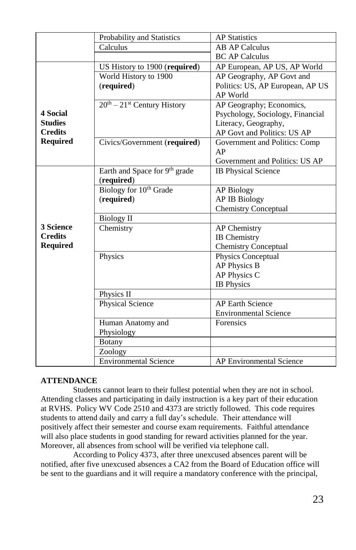|                 | Probability and Statistics         | <b>AP</b> Statistics             |
|-----------------|------------------------------------|----------------------------------|
|                 | Calculus                           | <b>AB AP Calculus</b>            |
|                 |                                    | <b>BC AP Calculus</b>            |
|                 | US History to 1900 (required)      | AP European, AP US, AP World     |
|                 | World History to 1900              | AP Geography, AP Govt and        |
|                 | (required)                         | Politics: US, AP European, AP US |
|                 |                                    | AP World                         |
|                 | $20th - 21st$ Century History      | AP Geography; Economics,         |
| 4 Social        |                                    | Psychology, Sociology, Financial |
| <b>Studies</b>  |                                    | Literacy, Geography,             |
| <b>Credits</b>  |                                    | AP Govt and Politics: US AP      |
| <b>Required</b> | Civics/Government (required)       | Government and Politics: Comp    |
|                 |                                    | AP                               |
|                 |                                    | Government and Politics: US AP   |
|                 | Earth and Space for 9th grade      | <b>IB Physical Science</b>       |
|                 | (required)                         |                                  |
|                 | Biology for 10 <sup>th</sup> Grade | <b>AP Biology</b>                |
|                 | (required)                         | <b>AP IB Biology</b>             |
|                 |                                    | <b>Chemistry Conceptual</b>      |
|                 | <b>Biology II</b>                  |                                  |
| 3 Science       | Chemistry                          | <b>AP</b> Chemistry              |
| <b>Credits</b>  |                                    | <b>IB</b> Chemistry              |
| <b>Required</b> |                                    | <b>Chemistry Conceptual</b>      |
|                 | Physics                            | Physics Conceptual               |
|                 |                                    | AP Physics B                     |
|                 |                                    | AP Physics C                     |
|                 |                                    | <b>IB</b> Physics                |
|                 | Physics II                         |                                  |
|                 | Physical Science                   | <b>AP Earth Science</b>          |
|                 |                                    | <b>Environmental Science</b>     |
|                 | Human Anatomy and                  | Forensics                        |
|                 | Physiology                         |                                  |
|                 | <b>Botany</b>                      |                                  |
|                 | Zoology                            |                                  |
|                 | <b>Environmental Science</b>       | AP Environmental Science         |

### **ATTENDANCE**

Students cannot learn to their fullest potential when they are not in school. Attending classes and participating in daily instruction is a key part of their education at RVHS. Policy WV Code 2510 and 4373 are strictly followed. This code requires students to attend daily and carry a full day's schedule. Their attendance will positively affect their semester and course exam requirements. Faithful attendance will also place students in good standing for reward activities planned for the year. Moreover, all absences from school will be verified via telephone call.

According to Policy 4373, after three unexcused absences parent will be notified, after five unexcused absences a CA2 from the Board of Education office will be sent to the guardians and it will require a mandatory conference with the principal,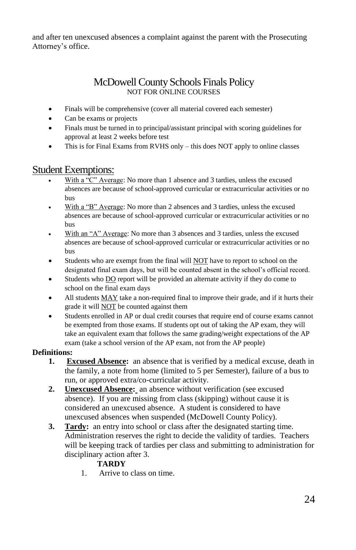and after ten unexcused absences a complaint against the parent with the Prosecuting Attorney's office.

# McDowell County Schools Finals Policy NOT FOR ONLINE COURSES

- Finals will be comprehensive (cover all material covered each semester)
- Can be exams or projects
- Finals must be turned in to principal/assistant principal with scoring guidelines for approval at least 2 weeks before test
- This is for Final Exams from RVHS only this does NOT apply to online classes

# Student Exemptions:

- With a "C" Average: No more than 1 absence and 3 tardies, unless the excused absences are because of school-approved curricular or extracurricular activities or no bus
- With a "B" Average: No more than 2 absences and 3 tardies, unless the excused absences are because of school-approved curricular or extracurricular activities or no bus
- With an "A" Average: No more than 3 absences and 3 tardies, unless the excused absences are because of school-approved curricular or extracurricular activities or no bus
- Students who are exempt from the final will NOT have to report to school on the designated final exam days, but will be counted absent in the school's official record.
- Students who DO report will be provided an alternate activity if they do come to school on the final exam days
- All students MAY take a non-required final to improve their grade, and if it hurts their grade it will NOT be counted against them
- Students enrolled in AP or dual credit courses that require end of course exams cannot be exempted from those exams. If students opt out of taking the AP exam, they will take an equivalent exam that follows the same grading/weight expectations of the AP exam (take a school version of the AP exam, not from the AP people)

### **Definitions:**

- **1. Excused Absence:** an absence that is verified by a medical excuse, death in the family, a note from home (limited to 5 per Semester), failure of a bus to run, or approved extra/co-curricular activity.
- **2. Unexcused Absence:** an absence without verification (see excused absence). If you are missing from class (skipping) without cause it is considered an unexcused absence. A student is considered to have unexcused absences when suspended (McDowell County Policy).
- **3. Tardy:** an entry into school or class after the designated starting time. Administration reserves the right to decide the validity of tardies. Teachers will be keeping track of tardies per class and submitting to administration for disciplinary action after 3.

# **TARDY**

1. Arrive to class on time.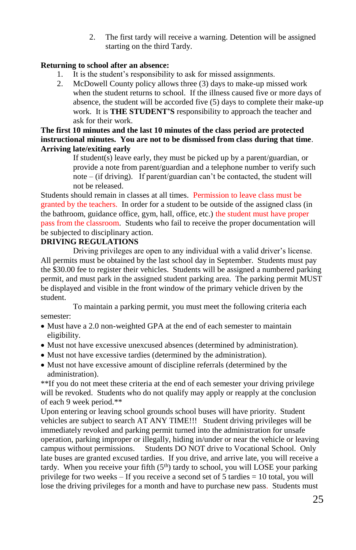2. The first tardy will receive a warning. Detention will be assigned starting on the third Tardy.

### **Returning to school after an absence:**

- 1. It is the student's responsibility to ask for missed assignments.
- 2. McDowell County policy allows three (3) days to make-up missed work when the student returns to school. If the illness caused five or more days of absence, the student will be accorded five (5) days to complete their make-up work. It is **THE STUDENT'S** responsibility to approach the teacher and ask for their work.

### **The first 10 minutes and the last 10 minutes of the class period are protected instructional minutes. You are not to be dismissed from class during that time**. **Arriving late/exiting early**

If student(s) leave early, they must be picked up by a parent/guardian, or provide a note from parent/guardian and a telephone number to verify such note – (if driving). If parent/guardian can't be contacted, the student will not be released.

Students should remain in classes at all times. Permission to leave class must be granted by the teachers. In order for a student to be outside of the assigned class (in the bathroom, guidance office, gym, hall, office, etc.) the student must have proper pass from the classroom. Students who fail to receive the proper documentation will be subjected to disciplinary action.

# **DRIVING REGULATIONS**

Driving privileges are open to any individual with a valid driver's license. All permits must be obtained by the last school day in September. Students must pay the \$30.00 fee to register their vehicles. Students will be assigned a numbered parking permit, and must park in the assigned student parking area. The parking permit MUST be displayed and visible in the front window of the primary vehicle driven by the student.

To maintain a parking permit, you must meet the following criteria each semester:

- Must have a 2.0 non-weighted GPA at the end of each semester to maintain eligibility.
- Must not have excessive unexcused absences (determined by administration).
- Must not have excessive tardies (determined by the administration).
- Must not have excessive amount of discipline referrals (determined by the administration).

\*\*If you do not meet these criteria at the end of each semester your driving privilege will be revoked. Students who do not qualify may apply or reapply at the conclusion of each 9 week period.\*\*

Upon entering or leaving school grounds school buses will have priority. Student vehicles are subject to search AT ANY TIME!!! Student driving privileges will be immediately revoked and parking permit turned into the administration for unsafe operation, parking improper or illegally, hiding in/under or near the vehicle or leaving campus without permissions. Students DO NOT drive to Vocational School. Only late buses are granted excused tardies. If you drive, and arrive late, you will receive a tardy. When you receive your fifth  $(5<sup>th</sup>)$  tardy to school, you will LOSE your parking privilege for two weeks – If you receive a second set of 5 tardies = 10 total, you will lose the driving privileges for a month and have to purchase new pass. Students must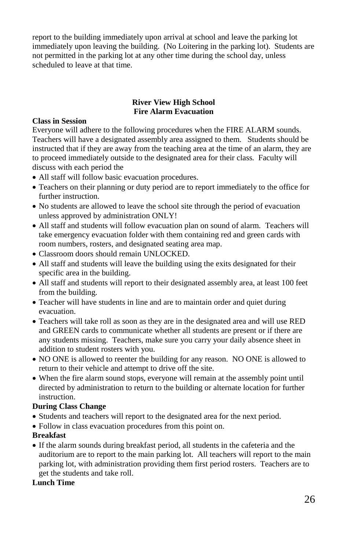report to the building immediately upon arrival at school and leave the parking lot immediately upon leaving the building. (No Loitering in the parking lot). Students are not permitted in the parking lot at any other time during the school day, unless scheduled to leave at that time.

#### **River View High School Fire Alarm Evacuation**

#### **Class in Session**

Everyone will adhere to the following procedures when the FIRE ALARM sounds. Teachers will have a designated assembly area assigned to them. Students should be instructed that if they are away from the teaching area at the time of an alarm, they are to proceed immediately outside to the designated area for their class. Faculty will discuss with each period the

- All staff will follow basic evacuation procedures.
- Teachers on their planning or duty period are to report immediately to the office for further instruction.
- No students are allowed to leave the school site through the period of evacuation unless approved by administration ONLY!
- All staff and students will follow evacuation plan on sound of alarm. Teachers will take emergency evacuation folder with them containing red and green cards with room numbers, rosters, and designated seating area map.
- Classroom doors should remain UNLOCKED.
- All staff and students will leave the building using the exits designated for their specific area in the building.
- All staff and students will report to their designated assembly area, at least 100 feet from the building.
- Teacher will have students in line and are to maintain order and quiet during evacuation.
- Teachers will take roll as soon as they are in the designated area and will use RED and GREEN cards to communicate whether all students are present or if there are any students missing. Teachers, make sure you carry your daily absence sheet in addition to student rosters with you.
- NO ONE is allowed to reenter the building for any reason. NO ONE is allowed to return to their vehicle and attempt to drive off the site.
- When the fire alarm sound stops, everyone will remain at the assembly point until directed by administration to return to the building or alternate location for further instruction.

#### **During Class Change**

- Students and teachers will report to the designated area for the next period.
- Follow in class evacuation procedures from this point on.

#### **Breakfast**

 If the alarm sounds during breakfast period, all students in the cafeteria and the auditorium are to report to the main parking lot. All teachers will report to the main parking lot, with administration providing them first period rosters. Teachers are to get the students and take roll.

#### **Lunch Time**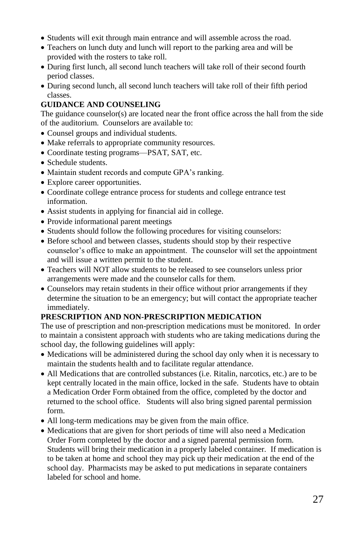- Students will exit through main entrance and will assemble across the road.
- Teachers on lunch duty and lunch will report to the parking area and will be provided with the rosters to take roll.
- During first lunch, all second lunch teachers will take roll of their second fourth period classes.
- During second lunch, all second lunch teachers will take roll of their fifth period classes.

### **GUIDANCE AND COUNSELING**

The guidance counselor(s) are located near the front office across the hall from the side of the auditorium. Counselors are available to:

- Counsel groups and individual students.
- Make referrals to appropriate community resources.
- Coordinate testing programs—PSAT, SAT, etc.
- Schedule students.
- Maintain student records and compute GPA's ranking.
- Explore career opportunities.
- Coordinate college entrance process for students and college entrance test information.
- Assist students in applying for financial aid in college.
- Provide informational parent meetings
- Students should follow the following procedures for visiting counselors:
- Before school and between classes, students should stop by their respective counselor's office to make an appointment. The counselor will set the appointment and will issue a written permit to the student.
- Teachers will NOT allow students to be released to see counselors unless prior arrangements were made and the counselor calls for them.
- Counselors may retain students in their office without prior arrangements if they determine the situation to be an emergency; but will contact the appropriate teacher immediately.

### **PRESCRIPTION AND NON-PRESCRIPTION MEDICATION**

The use of prescription and non-prescription medications must be monitored. In order to maintain a consistent approach with students who are taking medications during the school day, the following guidelines will apply:

- Medications will be administered during the school day only when it is necessary to maintain the students health and to facilitate regular attendance.
- All Medications that are controlled substances (i.e. Ritalin, narcotics, etc.) are to be kept centrally located in the main office, locked in the safe. Students have to obtain a Medication Order Form obtained from the office, completed by the doctor and returned to the school office. Students will also bring signed parental permission form.
- All long-term medications may be given from the main office.
- Medications that are given for short periods of time will also need a Medication Order Form completed by the doctor and a signed parental permission form. Students will bring their medication in a properly labeled container. If medication is to be taken at home and school they may pick up their medication at the end of the school day. Pharmacists may be asked to put medications in separate containers labeled for school and home.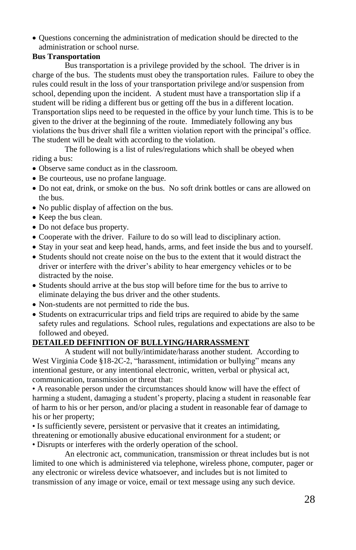Questions concerning the administration of medication should be directed to the administration or school nurse.

### **Bus Transportation**

Bus transportation is a privilege provided by the school. The driver is in charge of the bus. The students must obey the transportation rules. Failure to obey the rules could result in the loss of your transportation privilege and/or suspension from school, depending upon the incident. A student must have a transportation slip if a student will be riding a different bus or getting off the bus in a different location. Transportation slips need to be requested in the office by your lunch time. This is to be given to the driver at the beginning of the route. Immediately following any bus violations the bus driver shall file a written violation report with the principal's office. The student will be dealt with according to the violation.

The following is a list of rules/regulations which shall be obeyed when riding a bus:

- Observe same conduct as in the classroom.
- Be courteous, use no profane language.
- Do not eat, drink, or smoke on the bus. No soft drink bottles or cans are allowed on the bus.
- No public display of affection on the bus.
- Keep the bus clean.
- Do not deface bus property.
- Cooperate with the driver. Failure to do so will lead to disciplinary action.
- Stay in your seat and keep head, hands, arms, and feet inside the bus and to yourself.
- Students should not create noise on the bus to the extent that it would distract the driver or interfere with the driver's ability to hear emergency vehicles or to be distracted by the noise.
- Students should arrive at the bus stop will before time for the bus to arrive to eliminate delaying the bus driver and the other students.
- Non-students are not permitted to ride the bus.
- Students on extracurricular trips and field trips are required to abide by the same safety rules and regulations. School rules, regulations and expectations are also to be followed and obeyed.

### **DETAILED DEFINITION OF BULLYING/HARRASSMENT**

A student will not bully/intimidate/harass another student. According to West Virginia Code §18-2C-2, "harassment, intimidation or bullying" means any intentional gesture, or any intentional electronic, written, verbal or physical act, communication, transmission or threat that:

• A reasonable person under the circumstances should know will have the effect of harming a student, damaging a student's property, placing a student in reasonable fear of harm to his or her person, and/or placing a student in reasonable fear of damage to his or her property;

• Is sufficiently severe, persistent or pervasive that it creates an intimidating, threatening or emotionally abusive educational environment for a student; or • Disrupts or interferes with the orderly operation of the school.

An electronic act, communication, transmission or threat includes but is not limited to one which is administered via telephone, wireless phone, computer, pager or any electronic or wireless device whatsoever, and includes but is not limited to transmission of any image or voice, email or text message using any such device.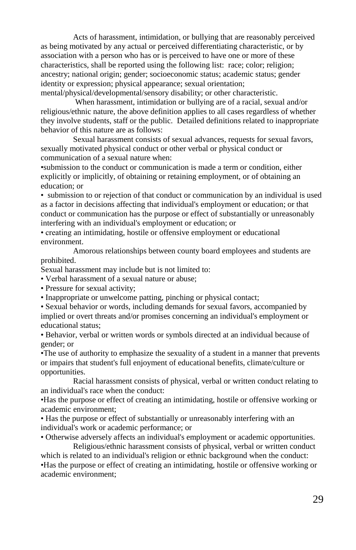Acts of harassment, intimidation, or bullying that are reasonably perceived as being motivated by any actual or perceived differentiating characteristic, or by association with a person who has or is perceived to have one or more of these characteristics, shall be reported using the following list: race; color; religion; ancestry; national origin; gender; socioeconomic status; academic status; gender identity or expression; physical appearance; sexual orientation; mental/physical/developmental/sensory disability; or other characteristic.

When harassment, intimidation or bullying are of a racial, sexual and/or religious/ethnic nature, the above definition applies to all cases regardless of whether they involve students, staff or the public. Detailed definitions related to inappropriate behavior of this nature are as follows:

Sexual harassment consists of sexual advances, requests for sexual favors, sexually motivated physical conduct or other verbal or physical conduct or communication of a sexual nature when:

•submission to the conduct or communication is made a term or condition, either explicitly or implicitly, of obtaining or retaining employment, or of obtaining an education; or

• submission to or rejection of that conduct or communication by an individual is used as a factor in decisions affecting that individual's employment or education; or that conduct or communication has the purpose or effect of substantially or unreasonably interfering with an individual's employment or education; or

• creating an intimidating, hostile or offensive employment or educational environment.

Amorous relationships between county board employees and students are prohibited.

Sexual harassment may include but is not limited to:

• Verbal harassment of a sexual nature or abuse;

- Pressure for sexual activity;
- Inappropriate or unwelcome patting, pinching or physical contact;

• Sexual behavior or words, including demands for sexual favors, accompanied by implied or overt threats and/or promises concerning an individual's employment or educational status;

• Behavior, verbal or written words or symbols directed at an individual because of gender; or

•The use of authority to emphasize the sexuality of a student in a manner that prevents or impairs that student's full enjoyment of educational benefits, climate/culture or opportunities.

Racial harassment consists of physical, verbal or written conduct relating to an individual's race when the conduct:

•Has the purpose or effect of creating an intimidating, hostile or offensive working or academic environment;

• Has the purpose or effect of substantially or unreasonably interfering with an individual's work or academic performance; or

• Otherwise adversely affects an individual's employment or academic opportunities.

Religious/ethnic harassment consists of physical, verbal or written conduct which is related to an individual's religion or ethnic background when the conduct: •Has the purpose or effect of creating an intimidating, hostile or offensive working or academic environment;